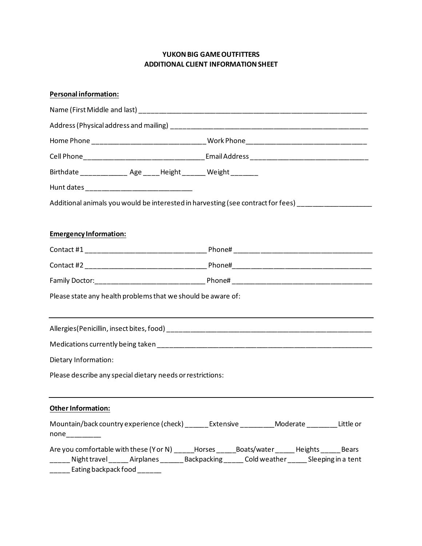## **YUKON BIG GAME OUTFITTERS ADDITIONAL CLIENT INFORMATION SHEET**

## **Personal information:**

| Birthdate ______________ Age _____Height _______ Weight ________ |                                                                                                                                                                                                 |
|------------------------------------------------------------------|-------------------------------------------------------------------------------------------------------------------------------------------------------------------------------------------------|
|                                                                  |                                                                                                                                                                                                 |
|                                                                  | Additional animals you would be interested in harvesting (see contract for fees) __________________                                                                                             |
| <b>Emergency Information:</b>                                    |                                                                                                                                                                                                 |
|                                                                  |                                                                                                                                                                                                 |
|                                                                  |                                                                                                                                                                                                 |
|                                                                  |                                                                                                                                                                                                 |
| Please state any health problems that we should be aware of:     |                                                                                                                                                                                                 |
|                                                                  |                                                                                                                                                                                                 |
|                                                                  |                                                                                                                                                                                                 |
| Dietary Information:                                             |                                                                                                                                                                                                 |
| Please describe any special dietary needs or restrictions:       |                                                                                                                                                                                                 |
| Other Information:                                               |                                                                                                                                                                                                 |
|                                                                  | Mountain/back country experience (check) ______ Extensive _________ Moderate _______ Little or                                                                                                  |
| _____ Eating backpack food ______                                | Are you comfortable with these (Y or N) _____Horses _____Boats/water _____Heights _____Bears<br>_____ Night travel _____ Airplanes ______ Backpacking ____ Cold weather ____ Sleeping in a tent |